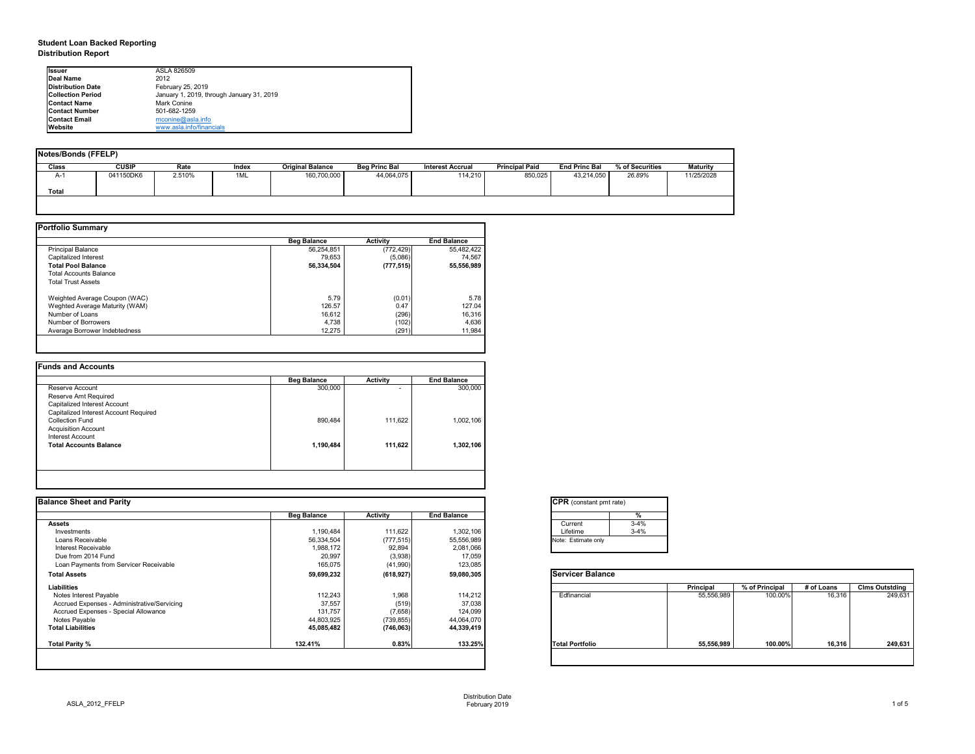# **Student Loan Backed Reporting Distribution Report**

| Notes/Bonds (FFELP) |              |        |       |                         |                      |                         |                       |                      |                 |                 |
|---------------------|--------------|--------|-------|-------------------------|----------------------|-------------------------|-----------------------|----------------------|-----------------|-----------------|
| <b>Class</b>        | <b>CUSIP</b> | Rate   | Index | <b>Original Balance</b> | <b>Beg Princ Bal</b> | <b>Interest Accrual</b> | <b>Principal Paid</b> | <b>End Princ Bal</b> | % of Securities | <b>Maturity</b> |
| A-1                 | 041150DK6    | 2.510% | 1ML   | 160,700,000             | 44,064,075           | 114,210                 | 850,025               | 43,214,050           | 26.89%          | 11/25/2028      |
| <b>Total</b>        |              |        |       |                         |                      |                         |                       |                      |                 |                 |
|                     |              |        |       |                         |                      |                         |                       |                      |                 |                 |

|                                | <b>Beg Balance</b> | <b>Activity</b> | <b>End Balance</b> |
|--------------------------------|--------------------|-----------------|--------------------|
| <b>Principal Balance</b>       | 56,254,851         | (772, 429)      | 55,482,422         |
| Capitalized Interest           | 79,653             | (5,086)         | 74,567             |
| <b>Total Pool Balance</b>      | 56,334,504         | (777, 515)      | 55,556,989         |
| <b>Total Accounts Balance</b>  |                    |                 |                    |
| <b>Total Trust Assets</b>      |                    |                 |                    |
| Weighted Average Coupon (WAC)  | 5.79               | (0.01)          | 5.78               |
| Weghted Average Maturity (WAM) | 126.57             | 0.47            | 127.04             |
| Number of Loans                | 16,612             | (296)           | 16,316             |
| Number of Borrowers            | 4,738              | (102)           | 4,636              |
| Average Borrower Indebtedness  | 12,275             | (291)           | 11,984             |

|           |   | <b>Activity</b> | <b>Beg Balance</b> |                                       |
|-----------|---|-----------------|--------------------|---------------------------------------|
| 300,000   | ۰ |                 | 300,000            | Reserve Account                       |
|           |   |                 |                    | <b>Reserve Amt Required</b>           |
|           |   |                 |                    | Capitalized Interest Account          |
|           |   |                 |                    | Capitalized Interest Account Required |
| 1,002,106 |   | 111,622         | 890,484            | <b>Collection Fund</b>                |
|           |   |                 |                    | <b>Acquisition Account</b>            |
|           |   |                 |                    | <b>Interest Account</b>               |
| 1,302,106 |   | 111,622         | 1,190,484          | <b>Total Accounts Balance</b>         |
|           |   |                 |                    |                                       |
|           |   |                 |                    |                                       |
|           |   |                 |                    |                                       |

| <b>Ilssuer</b>           | ASLA 826509                               |
|--------------------------|-------------------------------------------|
| Deal Name                | 2012                                      |
| Distribution Date        | February 25, 2019                         |
| <b>Collection Period</b> | January 1, 2019, through January 31, 2019 |
| <b>IContact Name</b>     | Mark Conine                               |
| <b>IContact Number</b>   | 501-682-1259                              |
| <b>Contact Email</b>     | mconine@asla.info                         |
| <b>IWebsite</b>          | www.asla.info/financials                  |

|                    |                 |                    | <b>CPR</b> (constant pmt rate) |                  |                |            |                       |
|--------------------|-----------------|--------------------|--------------------------------|------------------|----------------|------------|-----------------------|
| <b>Beg Balance</b> | <b>Activity</b> | <b>End Balance</b> | %                              |                  |                |            |                       |
|                    |                 |                    | $3 - 4%$<br>Current            |                  |                |            |                       |
| 1,190,484          | 111,622         | 1,302,106          | $3 - 4%$<br>Lifetime           |                  |                |            |                       |
| 56,334,504         | (777, 515)      | 55,556,989         | Note: Estimate only            |                  |                |            |                       |
| 1,988,172          | 92,894          | 2,081,066          |                                |                  |                |            |                       |
| 20,997             |                 | 17,059             |                                |                  |                |            |                       |
| 165,075            | (41,990)        | 123,085            |                                |                  |                |            |                       |
| 59,699,232         | (618, 927)      | 59,080,305         | <b>Servicer Balance</b>        |                  |                |            |                       |
|                    |                 |                    |                                | <b>Principal</b> | % of Principal | # of Loans | <b>Clms Outstding</b> |
| 112,243            | 1,968           | 114,212            | Edfinancial                    | 55,556,989       | 100.00%        | 16,316     | 249,631               |
| 37,557             | (519)           | 37,038             |                                |                  |                |            |                       |
| 131,757            | (7,658)         | 124,099            |                                |                  |                |            |                       |
| 44,803,925         | (739, 855)      | 44,064,070         |                                |                  |                |            |                       |
| 45,085,482         | (746,063)       | 44,339,419         |                                |                  |                |            |                       |
| 132.41%            | 0.83%           | 133.25%            | <b>Total Portfolio</b>         | 55,556,989       | 100.00%        | 16,316     | 249,631               |
|                    |                 | (3,938)            |                                |                  |                |            |                       |

| tant pmt rate) |
|----------------|
| %              |
| $3 - 4%$       |
| $3 - 4%$       |
|                |
|                |

|      | <b>Principal</b> | % of Principal | # of Loans | <b>Clms Outstding</b> |
|------|------------------|----------------|------------|-----------------------|
| al   | 55,556,989       | 100.00%        | 16,316     | 249,631               |
| oilc | 55,556,989       | 100.00%        | 16,316     | 249,631               |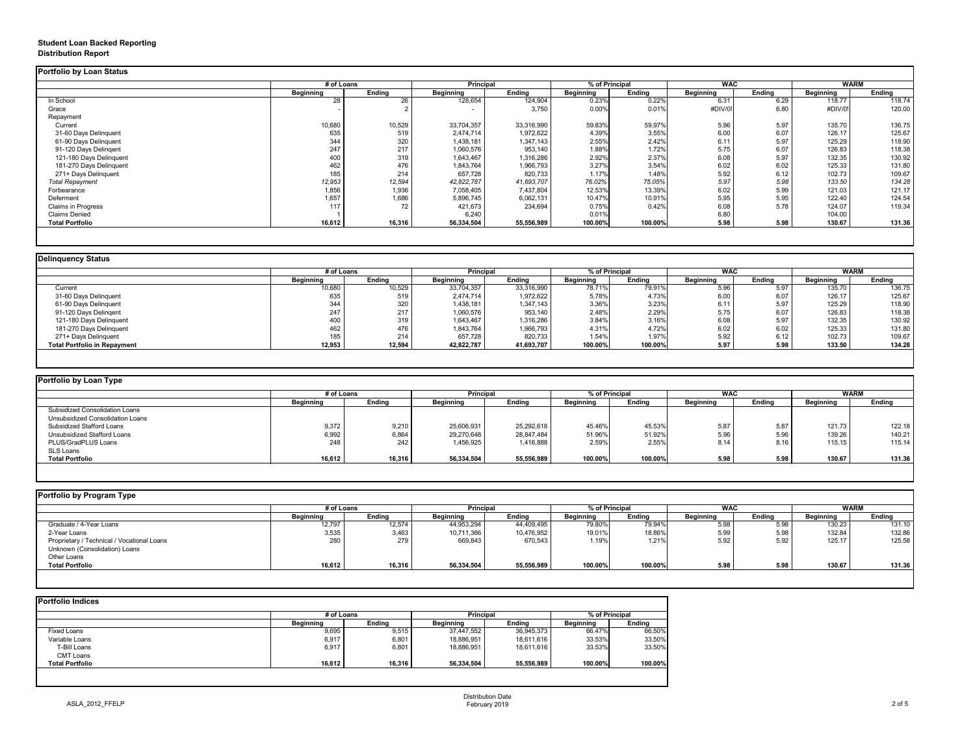# **Student Loan Backed Reporting Distribution Report**

|                         | # of Loans       |               | Principal        |               | % of Principal   |               | <b>WAC</b>       |               | <b>WARM</b>      |               |
|-------------------------|------------------|---------------|------------------|---------------|------------------|---------------|------------------|---------------|------------------|---------------|
|                         | <b>Beginning</b> | <b>Ending</b> | <b>Beginning</b> | <b>Ending</b> | <b>Beginning</b> | <b>Ending</b> | <b>Beginning</b> | <b>Ending</b> | <b>Beginning</b> | <b>Ending</b> |
| In School               | 28               | 26            | 128,654          | 124,904       | 0.23%            | 0.22%         | 6.31             | 6.29          | 118.77           | 118.74        |
| Grace                   |                  |               | $\sim$           | 3,750         | 0.00%            | 0.01%         | #DIV/0!          | 6.80          | #DIV/0!          | 120.00        |
| Repayment               |                  |               |                  |               |                  |               |                  |               |                  |               |
| Current                 | 10,680           | 10,529        | 33,704,357       | 33,316,990    | 59.83%           | 59.97%        | 5.96             | 5.97          | 135.70           | 136.75        |
| 31-60 Days Delinquent   | 635              | 519           | 2,474,714        | 1,972,622     | 4.39%            | 3.55%         | 6.00             | 6.07          | 126.17           | 125.67        |
| 61-90 Days Delinquent   | 344              | 320           | 1,438,181        | 1,347,143     | 2.55%            | 2.42%         | 6.11             | 5.97          | 125.29           | 118.90        |
| 91-120 Days Delingent   | 247              | 217           | 1,060,576        | 953,140       | 1.88%            | 1.72%         | 5.75             | 6.07          | 126.83           | 118.38        |
| 121-180 Days Delinquent | 400              | 319           | 1,643,467        | 1,316,286     | 2.92%            | 2.37%         | 6.08             | 5.97          | 132.35           | 130.92        |
| 181-270 Days Delinquent | 462              | 476           | 1,843,764        | 1,966,793     | 3.27%            | 3.54%         | 6.02             | 6.02          | 125.33           | 131.80        |
| 271+ Days Delinquent    | 185              | 214           | 657,728          | 820,733       | 1.17%            | 1.48%         | 5.92             | 6.12          | 102.73           | 109.67        |
| <b>Total Repayment</b>  | 12,953           | 12,594        | 42,822,787       | 41,693,707    | 76.02%           | 75.05%        | 5.97             | 5.98          | 133.50           | 134.28        |
| Forbearance             | 1,856            | 1,936         | 7,058,405        | 7,437,804     | 12.53%           | 13.39%        | 6.02             | 5.99          | 121.03           | 121.17        |
| Deferment               | 1,657            | 1,686         | 5,896,745        | 6,062,131     | 10.47%           | 10.91%        | 5.95             | 5.95          | 122.40           | 124.54        |
| Claims in Progress      | 117              | 72            | 421,673          | 234,694       | 0.75%            | 0.42%         | 6.08             | 5.78          | 124.07           | 119.34        |
| <b>Claims Denied</b>    |                  |               | 6,240            |               | 0.01%            |               | 6.80             |               | 104.00           |               |
| <b>Total Portfolio</b>  | 16,612           | 16,316        | 56,334,504       | 55,556,989    | 100.00%          | 100.00%       | 5.98             | 5.98          | 130.67           | 131.36        |

|                                     |                  | # of Loans    |                  | <b>Principal</b> | % of Principal |               | <b>WAC</b>       |        | WARM             |               |
|-------------------------------------|------------------|---------------|------------------|------------------|----------------|---------------|------------------|--------|------------------|---------------|
|                                     | <b>Beginning</b> | <b>Ending</b> | <b>Beginning</b> | <b>Ending</b>    | Beginning      | <b>Ending</b> | <b>Beginning</b> | Ending | <b>Beginning</b> | <b>Ending</b> |
| Current                             | 10,680           | 10,529        | 33,704,357       | 33,316,990       | 78.71%         | 79.91%        | 5.96             | 5.97   | 135.70           | 136.75        |
| 31-60 Days Delinquent               | 635              | 519           | 2,474,714        | 1,972,622        | 5.78%          | 4.73%         | 6.00             | 6.07   | 126.17           | 125.67        |
| 61-90 Days Delinquent               | 344              | 320           | 1,438,181        | 1,347,143        | 3.36%          | 3.23%         | 6.11             | 5.97   | 125.29           | 118.90        |
| 91-120 Days Delinqent               | 247              | 217           | 1,060,576        | 953,140          | 2.48%          | 2.29%         | 5.75             | 6.07   | 126.83           | 118.38        |
| 121-180 Days Delinquent             | 400              | 319           | 1,643,467        | 1,316,286        | 3.84%          | 3.16%         | 6.08             | 5.97   | 132.35           | 130.92        |
| 181-270 Days Delinquent             | 462              | 476           | 1,843,764        | 1,966,793        | 4.31%          | 4.72%         | 6.02             | 6.02   | 125.33           | 131.80        |
| 271+ Days Delinquent                | 185              | 214           | 657,728          | 820,733          | 1.54%          | 1.97%         | 5.92             | 6.12   | 102.73           | 109.67        |
| <b>Total Portfolio in Repayment</b> | 12,953           | 12,594        | 42,822,787       | 41,693,707       | 100.00%        | 100.00%       | 5.97             | 5.98   | 133.50           | 134.28        |

| # of Loans       |               |                  |               | <b>WAC</b><br>% of Principal |               |                  | <b>WARM</b>   |                  |               |
|------------------|---------------|------------------|---------------|------------------------------|---------------|------------------|---------------|------------------|---------------|
| <b>Beginning</b> | <b>Ending</b> | <b>Beginning</b> | <b>Ending</b> | <b>Beginning</b>             | <b>Ending</b> | <b>Beginning</b> | <b>Ending</b> | <b>Beginning</b> | <b>Ending</b> |
|                  |               |                  |               |                              |               |                  |               |                  |               |
|                  |               |                  |               |                              |               |                  |               |                  |               |
| 9,372            | 9,210         | 25,606,931       | 25,292,618    | 45.46%                       | 45.53%        | 5.87             | 5.87          | 121.73           | 122.18        |
| 6,992            | 6,864         | 29,270,648       | 28,847,484    | 51.96%                       | 51.92%        | 5.96             | 5.96          | 139.26           | 140.21        |
| 248              | 242           | 1,456,925        | 1,416,888     | 2.59%                        | 2.55%         | 8.14             | 8.16          | 115.15           | 115.14        |
|                  |               |                  |               |                              |               |                  |               |                  |               |
| 16,612           | 16,316        | 56,334,504       | 55,556,989    | 100.00%                      | 100.00%       | 5.98             | 5.98          | 130.67           | 131.36        |
|                  |               |                  |               | <b>Principal</b>             |               |                  |               |                  |               |

|                                            |                  | # of Loans    |                  | <b>Principal</b> | % of Principal<br><b>WAC</b> |               |                  | <b>WARM</b>   |                  |               |
|--------------------------------------------|------------------|---------------|------------------|------------------|------------------------------|---------------|------------------|---------------|------------------|---------------|
|                                            | <b>Beginning</b> | <b>Ending</b> | <b>Beginning</b> | <b>Ending</b>    | <b>Beginning</b>             | <b>Ending</b> | <b>Beginning</b> | <b>Ending</b> | <b>Beginning</b> | <b>Ending</b> |
| Graduate / 4-Year Loans                    | 12,797           | 12,574        | 44,953,294       | 44,409,495       | 79.80%                       | 79.94%        | 5.98             | 5.98          | 130.23           | 131.10        |
| 2-Year Loans                               | 3,535            | 3,463         | 10,711,366       | 10,476,952       | 19.01%                       | 18.86%        | 5.99             | 5.98          | 132.84           | 132.86        |
| Proprietary / Technical / Vocational Loans | 280              | 279           | 669,843          | 670,543          | 1.19%                        | 1.21%         | 5.92             | 5.92          | 125.17           | 125.58        |
| Unknown (Consolidation) Loans              |                  |               |                  |                  |                              |               |                  |               |                  |               |
| <b>Other Loans</b>                         |                  |               |                  |                  |                              |               |                  |               |                  |               |
| <b>Total Portfolio</b>                     | 16,612           | 16,316        | 56,334,504       | 55,556,989       | 100.00%                      | 100.00%       | 5.98             | 5.98          | 130.67           | 131.36        |

| <b>Portfolio Indices</b> |                  |               |                  |               |                  |               |
|--------------------------|------------------|---------------|------------------|---------------|------------------|---------------|
|                          | # of Loans       |               | <b>Principal</b> |               | % of Principal   |               |
|                          | <b>Beginning</b> | <b>Ending</b> | <b>Beginning</b> | <b>Ending</b> | <b>Beginning</b> | <b>Ending</b> |
| Fixed Loans              | 9,695            | 9,515         | 37,447,552       | 36,945,373    | 66.47%           | 66.50%        |
| Variable Loans           | 6,917            | 6,801         | 18,886,951       | 18,611,616    | 33.53%           | 33.50%        |
| T-Bill Loans             | 6,917            | 6,801         | 18,886,951       | 18,611,616    | 33.53%           | 33.50%        |
| <b>CMT Loans</b>         |                  |               |                  |               |                  |               |
| <b>Total Portfolio</b>   | 16,612           | 16,316        | 56,334,504       | 55,556,989    | 100.00%          | 100.00%       |
|                          |                  |               |                  |               |                  |               |
|                          |                  |               |                  |               |                  |               |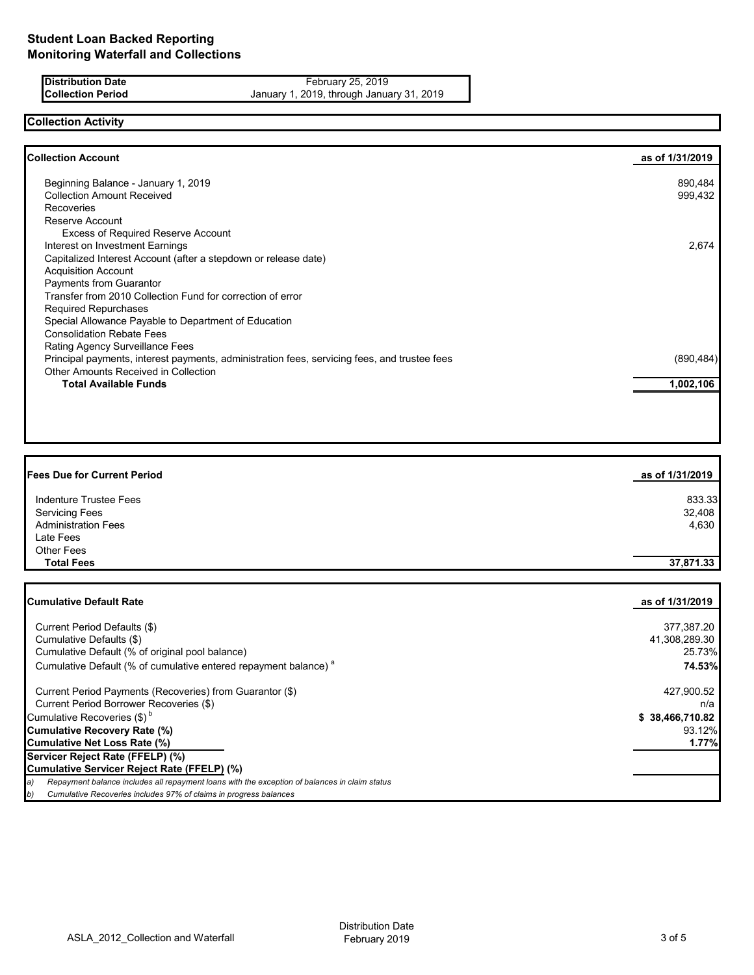**Distribution Date February 25, 2019 Collection Period** January 1, 2019, through January 31, 2019

## **Collection Activity**

| Beginning Balance - January 1, 2019<br><b>Collection Amount Received</b><br>Recoveries<br>Reserve Account<br><b>Excess of Required Reserve Account</b><br>Interest on Investment Earnings<br>Capitalized Interest Account (after a stepdown or release date)<br><b>Acquisition Account</b> | 890,484<br>999,432<br>2,674 |
|--------------------------------------------------------------------------------------------------------------------------------------------------------------------------------------------------------------------------------------------------------------------------------------------|-----------------------------|
|                                                                                                                                                                                                                                                                                            |                             |
|                                                                                                                                                                                                                                                                                            |                             |
|                                                                                                                                                                                                                                                                                            |                             |
|                                                                                                                                                                                                                                                                                            |                             |
|                                                                                                                                                                                                                                                                                            |                             |
|                                                                                                                                                                                                                                                                                            |                             |
|                                                                                                                                                                                                                                                                                            |                             |
|                                                                                                                                                                                                                                                                                            |                             |
| Payments from Guarantor                                                                                                                                                                                                                                                                    |                             |
| Transfer from 2010 Collection Fund for correction of error                                                                                                                                                                                                                                 |                             |
| <b>Required Repurchases</b>                                                                                                                                                                                                                                                                |                             |
| Special Allowance Payable to Department of Education                                                                                                                                                                                                                                       |                             |
| <b>Consolidation Rebate Fees</b>                                                                                                                                                                                                                                                           |                             |
| <b>Rating Agency Surveillance Fees</b>                                                                                                                                                                                                                                                     |                             |
| Principal payments, interest payments, administration fees, servicing fees, and trustee fees                                                                                                                                                                                               | (890, 484)                  |
| Other Amounts Received in Collection                                                                                                                                                                                                                                                       |                             |
| <b>Total Available Funds</b>                                                                                                                                                                                                                                                               | 1,002,106                   |

| <b>Fees Due for Current Period</b> | as of 1/31/2019 |
|------------------------------------|-----------------|
| Indenture Trustee Fees             | 833.33          |
| <b>Servicing Fees</b>              | 32,408          |
| <b>Administration Fees</b>         | 4,630           |
| Late Fees                          |                 |
| <b>Other Fees</b>                  |                 |
| <b>Total Fees</b>                  | 37,871.33       |

| <b>Cumulative Default Rate</b>                                                                      | as of 1/31/2019 |
|-----------------------------------------------------------------------------------------------------|-----------------|
| Current Period Defaults (\$)                                                                        | 377,387.20      |
| Cumulative Defaults (\$)                                                                            | 41,308,289.30   |
| Cumulative Default (% of original pool balance)                                                     | 25.73%          |
| Cumulative Default (% of cumulative entered repayment balance) <sup>a</sup>                         | 74.53%          |
| Current Period Payments (Recoveries) from Guarantor (\$)                                            | 427,900.52      |
| Current Period Borrower Recoveries (\$)                                                             | n/a             |
| Cumulative Recoveries $(\$)^b$                                                                      | \$38,466,710.82 |
| Cumulative Recovery Rate (%)                                                                        | 93.12%          |
| Cumulative Net Loss Rate (%)                                                                        | 1.77%           |
| Servicer Reject Rate (FFELP) (%)                                                                    |                 |
| Cumulative Servicer Reject Rate (FFELP) (%)                                                         |                 |
| Repayment balance includes all repayment loans with the exception of balances in claim status<br>a) |                 |
| Cumulative Recoveries includes 97% of claims in progress balances<br>b)                             |                 |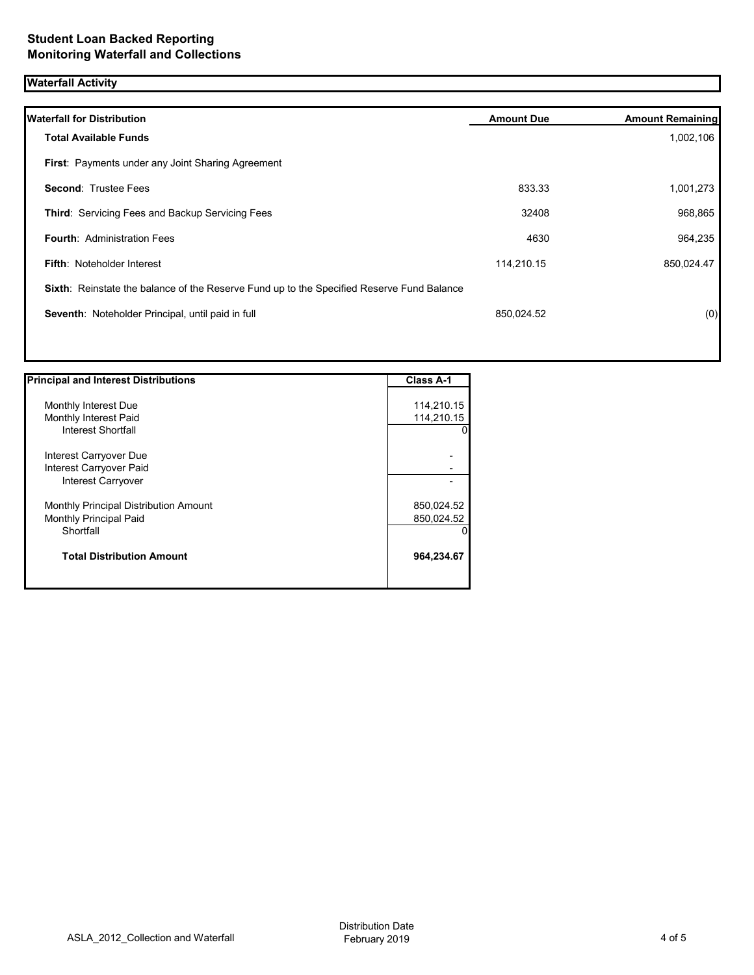# **Waterfall Activity**

| <b>Waterfall for Distribution</b>                                                         | <b>Amount Due</b> | <b>Amount Remaining</b> |
|-------------------------------------------------------------------------------------------|-------------------|-------------------------|
| <b>Total Available Funds</b>                                                              |                   | 1,002,106               |
| <b>First: Payments under any Joint Sharing Agreement</b>                                  |                   |                         |
| <b>Second: Trustee Fees</b>                                                               | 833.33            | 1,001,273               |
| Third: Servicing Fees and Backup Servicing Fees                                           | 32408             | 968,865                 |
| <b>Fourth: Administration Fees</b>                                                        | 4630              | 964,235                 |
| <b>Fifth: Noteholder Interest</b>                                                         | 114,210.15        | 850,024.47              |
| Sixth: Reinstate the balance of the Reserve Fund up to the Specified Reserve Fund Balance |                   |                         |
| Seventh: Noteholder Principal, until paid in full                                         | 850,024.52        | (0)                     |
|                                                                                           |                   |                         |
|                                                                                           |                   |                         |

| <b>Principal and Interest Distributions</b> | <b>Class A-1</b> |
|---------------------------------------------|------------------|
|                                             |                  |
| Monthly Interest Due                        | 114,210.15       |
| Monthly Interest Paid                       | 114,210.15       |
| <b>Interest Shortfall</b>                   |                  |
| Interest Carryover Due                      |                  |
| Interest Carryover Paid                     |                  |
| Interest Carryover                          |                  |
| Monthly Principal Distribution Amount       | 850,024.52       |
| <b>Monthly Principal Paid</b>               | 850,024.52       |
| Shortfall                                   |                  |
| <b>Total Distribution Amount</b>            | 964,234.67       |
|                                             |                  |